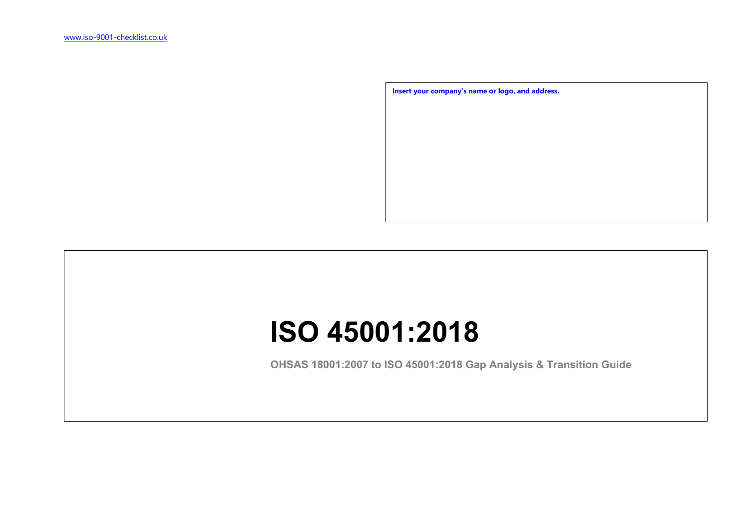**Insert your company's name or logo, and address.**

## **ISO 45001:2018**

**OHSAS 18001:2007 to ISO 45001:2018 Gap Analysis & Transition Guide**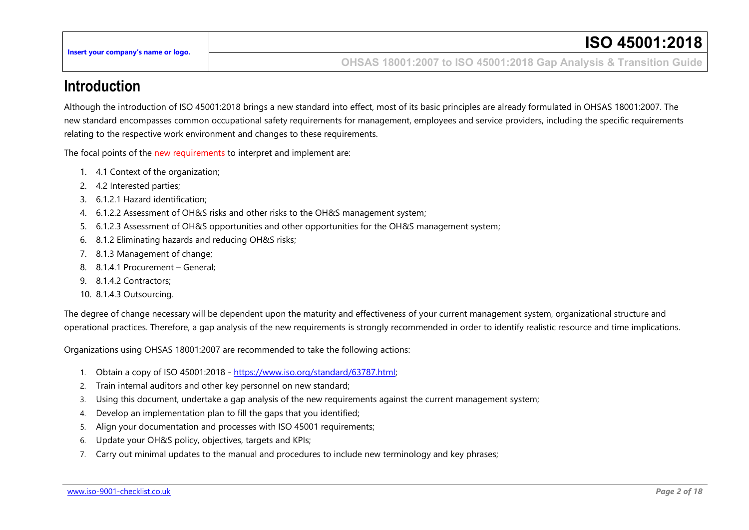**OHSAS 18001:2007 to ISO 45001:2018 Gap Analysis & Transition Guide**

## **Introduction**

Although the introduction of ISO 45001:2018 brings a new standard into effect, most of its basic principles are already formulated in OHSAS 18001:2007. The new standard encompasses common occupational safety requirements for management, employees and service providers, including the specific requirements relating to the respective work environment and changes to these requirements.

The focal points of the new requirements to interpret and implement are:

- 1. 4.1 Context of the organization;
- 2. 4.2 Interested parties;
- 3. 6.1.2.1 Hazard identification;
- 4. 6.1.2.2 Assessment of OH&S risks and other risks to the OH&S management system;
- 5. 6.1.2.3 Assessment of OH&S opportunities and other opportunities for the OH&S management system;
- 6. 8.1.2 Eliminating hazards and reducing OH&S risks;
- 7. 8.1.3 Management of change;
- 8. 8.1.4.1 Procurement General;
- 9. 8.1.4.2 Contractors;
- 10. 8.1.4.3 Outsourcing.

The degree of change necessary will be dependent upon the maturity and effectiveness of your current management system, organizational structure and operational practices. Therefore, a gap analysis of the new requirements is strongly recommended in order to identify realistic resource and time implications.

Organizations using OHSAS 18001:2007 are recommended to take the following actions:

- 1. Obtain a copy of ISO 45001:2018 [https://www.iso.org/standard/63787.html;](https://www.iso.org/standard/63787.html)
- 2. Train internal auditors and other key personnel on new standard;
- 3. Using this document, undertake a gap analysis of the new requirements against the current management system;
- 4. Develop an implementation plan to fill the gaps that you identified;
- 5. Align your documentation and processes with ISO 45001 requirements;
- 6. Update your OH&S policy, objectives, targets and KPIs;
- 7. Carry out minimal updates to the manual and procedures to include new terminology and key phrases;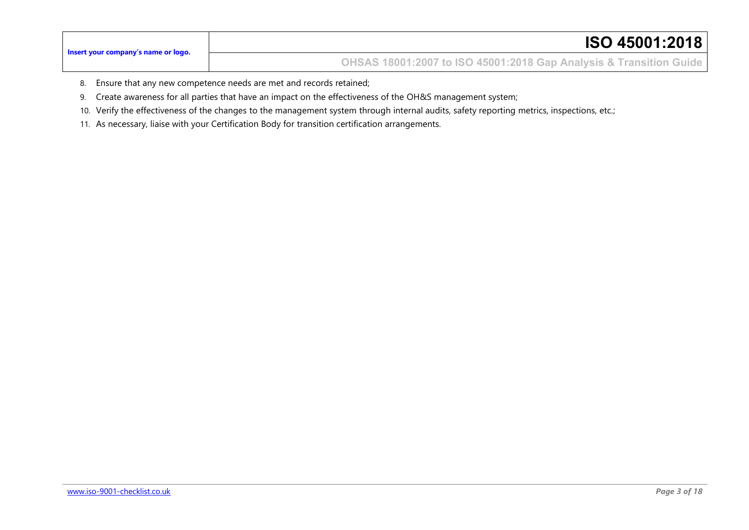**OHSAS 18001:2007 to ISO 45001:2018 Gap Analysis & Transition Guide**

- 8. Ensure that any new competence needs are met and records retained;
- 9. Create awareness for all parties that have an impact on the effectiveness of the OH&S management system;
- 10. Verify the effectiveness of the changes to the management system through internal audits, safety reporting metrics, inspections, etc.;
- 11. As necessary, liaise with your Certification Body for transition certification arrangements.